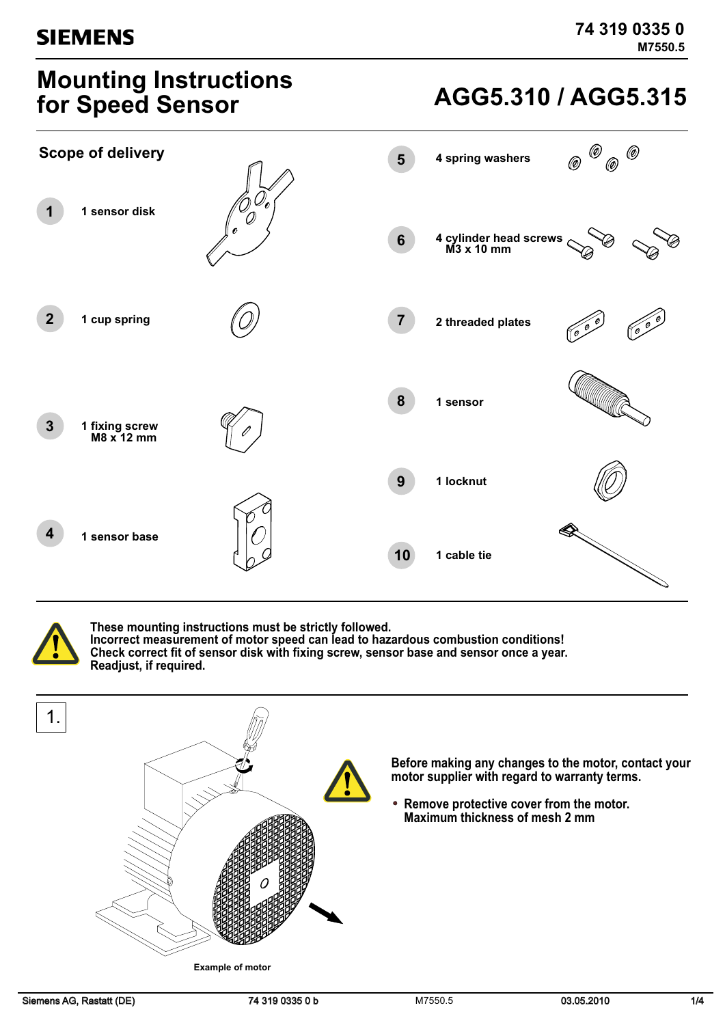## **Mounting Instructions for Speed Sensor**

## **AGG5.310 / AGG5.315**



**These mounting instructions must be strictly followed. Incorrect measurement of motor speed can lead to hazardous combustion conditions! Check correct fit of sensor disk with fixing screw, sensor base and sensor once a year. Readjust, if required.**

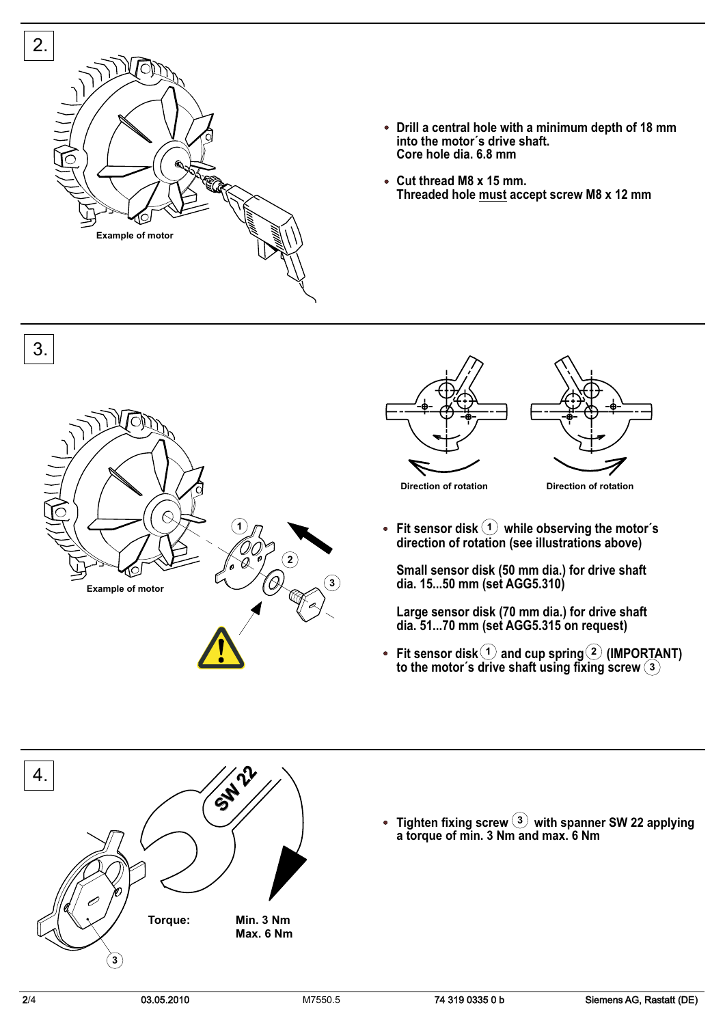

- **Drill a central hole with a minimum depth of 18 mm into the motor´s drive shaft. Core hole dia. 6.8 mm**
- **Cut thread M8 x 15 mm. Threaded hole must accept screw M8 x 12 mm**







**1**  $\bullet$ **Fit sensor disk while observing the motor´s direction of rotation (see illustrations above)**

**Small sensor disk (50 mm dia.) for drive shaft dia. 15...50 mm (set AGG5.310)**

**Large sensor disk (70 mm dia.) for drive shaft dia. 51...70 mm (set AGG5.315 on request)**

 $\bullet$ 1) and cup spring  $(2)$ **Fit sensor disk and cup spring (IMPORTANT) to the motor´s drive shaft using fixing screw 3**

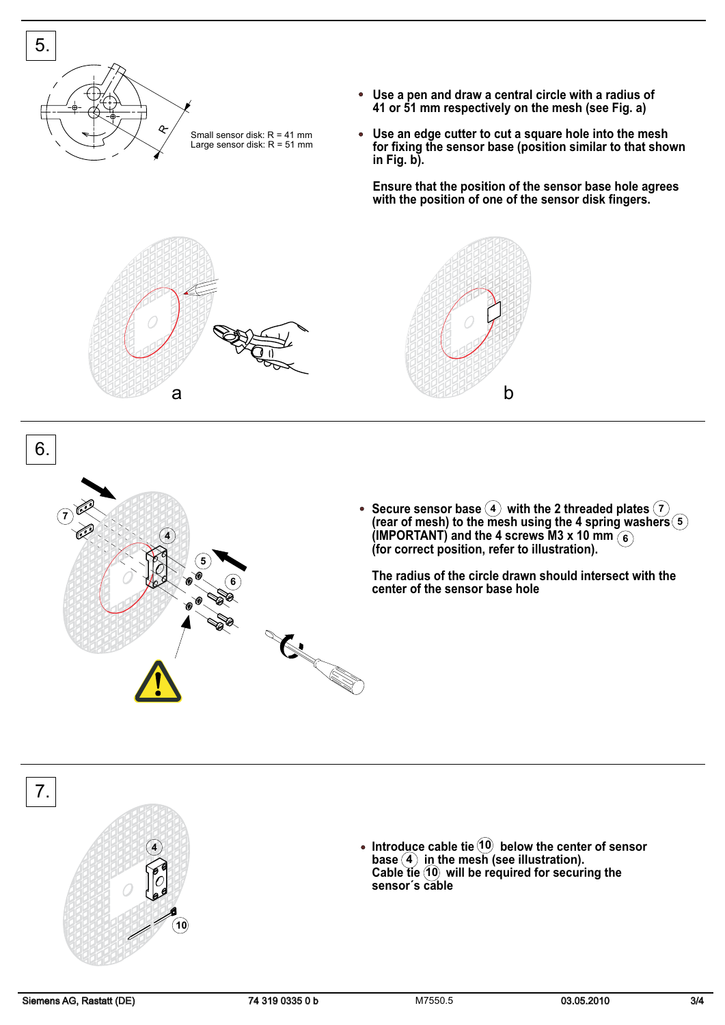



**10**

**4**

Secure sensor base  $(4)$  with the 2 threaded plates **(rear of mesh) to the mesh using the 4 spring washers (IMPORTANT) and the 4 screws M3 x 10 mm (for correct position, refer to illustration). 4 5 7 6**

**The radius of the circle drawn should intersect with the center of the sensor base hole**

**Introduce cable tie below the center of sensor**  $base(4)$  i<u>n</u> the mesh (see illustration). **Cable fie (10) will be required for securing the sensor´s cable 10 4 10**

6.

7.